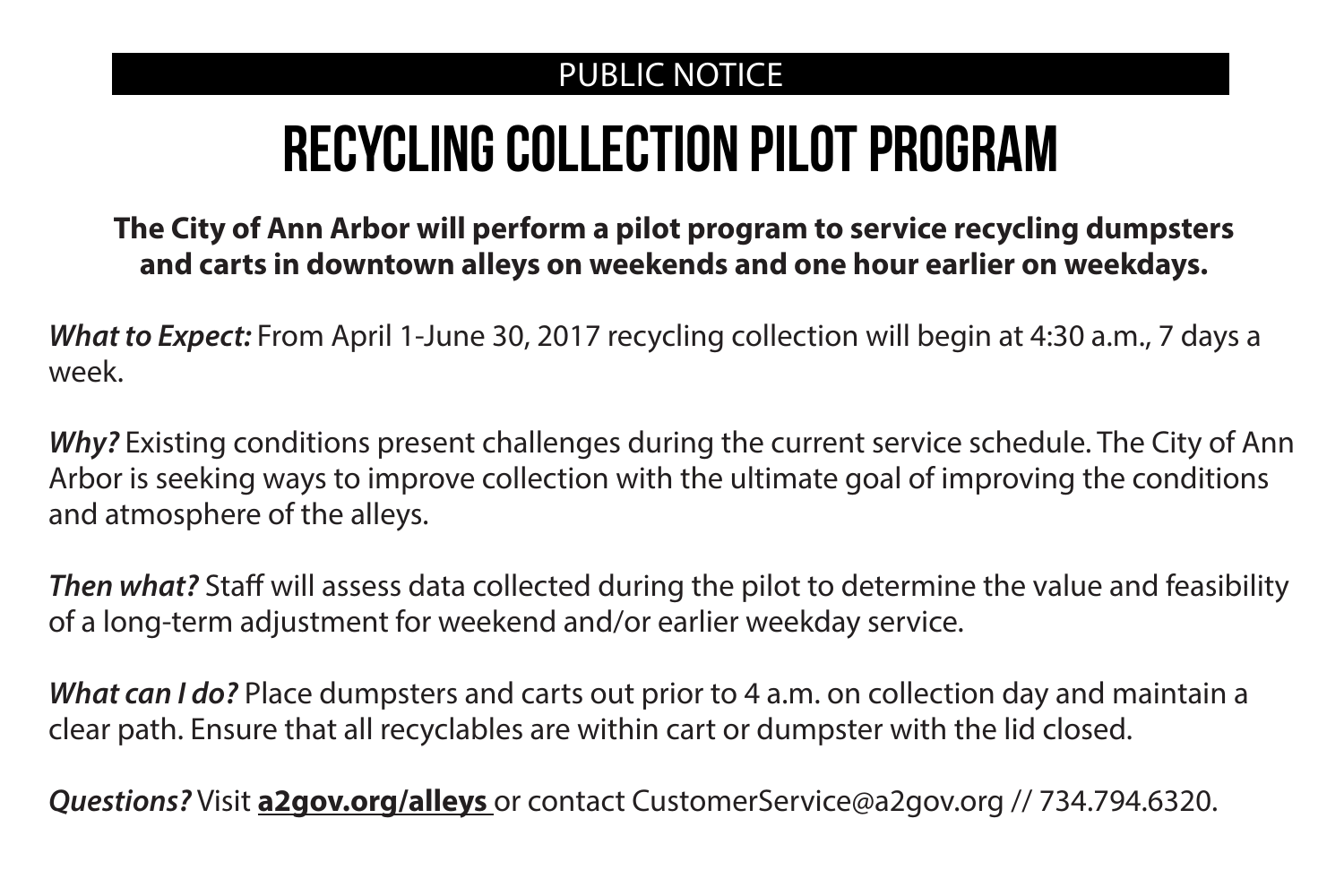## PUBLIC NOTICE

## recycling collection pilot program

## **The City of Ann Arbor will perform a pilot program to service recycling dumpsters and carts in downtown alleys on weekends and one hour earlier on weekdays.**

*What to Expect:* From April 1-June 30, 2017 recycling collection will begin at 4:30 a.m., 7 days a week.

*Why?* Existing conditions present challenges during the current service schedule. The City of Ann Arbor is seeking ways to improve collection with the ultimate goal of improving the conditions and atmosphere of the alleys.

*Then what?* Staff will assess data collected during the pilot to determine the value and feasibility of a long-term adjustment for weekend and/or earlier weekday service.

*What can I do?* Place dumpsters and carts out prior to 4 a.m. on collection day and maintain a clear path. Ensure that all recyclables are within cart or dumpster with the lid closed.

*Questions?* Visit **a2gov.org/alleys** or contact CustomerService@a2gov.org // 734.794.6320.